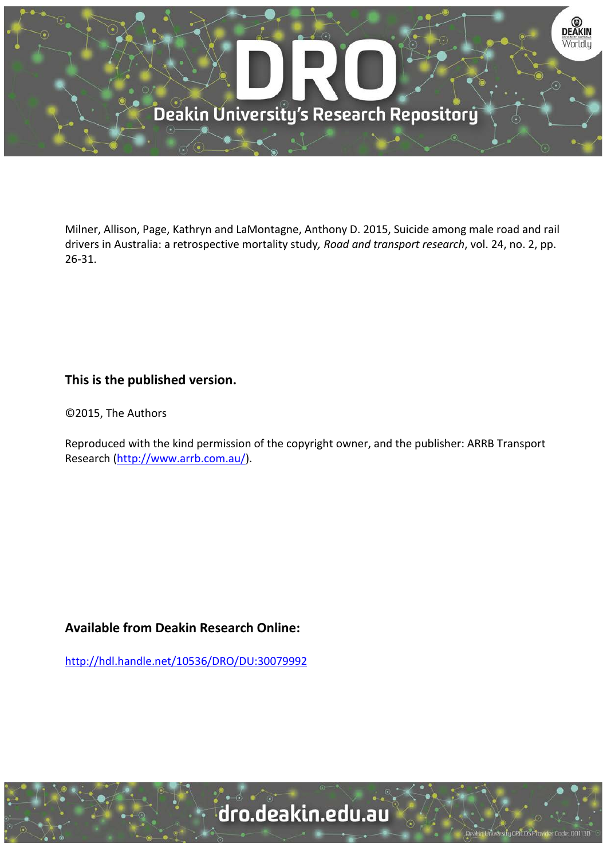

Milner, Allison, Page, Kathryn and LaMontagne, Anthony D. 2015, Suicide among male road and rail drivers in Australia: a retrospective mortality study*, Road and transport research*, vol. 24, no. 2, pp. 26-31.

# **This is the published version.**

©2015, The Authors

Reproduced with the kind permission of the copyright owner, and the publisher: ARRB Transport Research [\(http://www.arrb.com.au/\)](http://www.arrb.com.au/).

# **Available from Deakin Research Online:**

<http://hdl.handle.net/10536/DRO/DU:30079992>



University CRICOS Provider Code: 00113B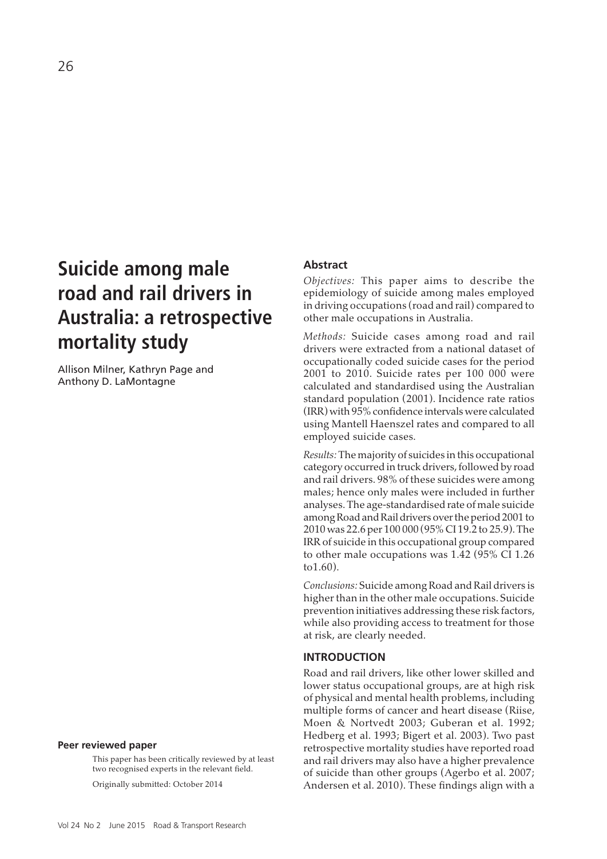# **Suicide among male road and rail drivers in Australia: a retrospective mortality study**

Allison Milner, Kathryn Page and Anthony D. LaMontagne

#### **Peer reviewed paper**

This paper has been critically reviewed by at least two recognised experts in the relevant field.

Originally submitted: October 2014

# **Abstract**

*Objectives:* This paper aims to describe the epidemiology of suicide among males employed in driving occupations (road and rail) compared to other male occupations in Australia.

*Methods:* Suicide cases among road and rail drivers were extracted from a national dataset of occupationally coded suicide cases for the period 2001 to 2010. Suicide rates per 100 000 were calculated and standardised using the Australian standard population (2001). Incidence rate ratios (IRR) with 95% confidence intervals were calculated using Mantell Haenszel rates and compared to all employed suicide cases.

*Results:* The majority of suicides in this occupational category occurred in truck drivers, followed by road and rail drivers. 98% of these suicides were among males; hence only males were included in further analyses. The age-standardised rate of male suicide among Road and Rail drivers over the period 2001 to 2010 was 22.6 per 100 000 (95% CI 19.2 to 25.9). The IRR of suicide in this occupational group compared to other male occupations was 1.42 (95% CI 1.26 to1.60).

*Conclusions:* Suicide among Road and Rail drivers is higher than in the other male occupations. Suicide prevention initiatives addressing these risk factors, while also providing access to treatment for those at risk, are clearly needed.

#### **INTRODUCTION**

Road and rail drivers, like other lower skilled and lower status occupational groups, are at high risk of physical and mental health problems, including multiple forms of cancer and heart disease (Riise, Moen & Nortvedt 2003; Guberan et al. 1992; Hedberg et al. 1993; Bigert et al. 2003). Two past retrospective mortality studies have reported road and rail drivers may also have a higher prevalence of suicide than other groups (Agerbo et al. 2007; Andersen et al. 2010). These findings align with a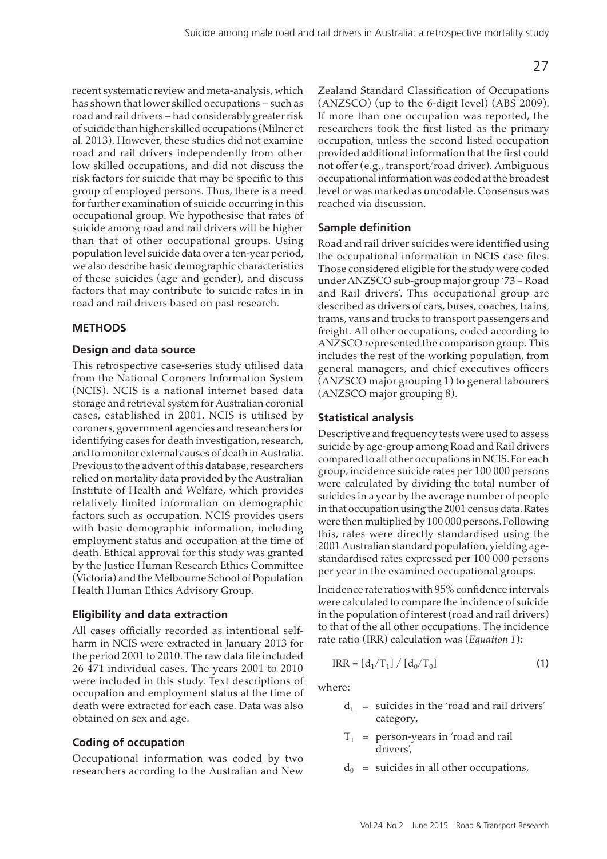recent systematic review and meta-analysis, which has shown that lower skilled occupations – such as road and rail drivers – had considerably greater risk of suicide than higher skilled occupations (Milner et al. 2013). However, these studies did not examine road and rail drivers independently from other low skilled occupations, and did not discuss the risk factors for suicide that may be specific to this group of employed persons. Thus, there is a need for further examination of suicide occurring in this occupational group. We hypothesise that rates of suicide among road and rail drivers will be higher than that of other occupational groups. Using population level suicide data over a ten-year period, we also describe basic demographic characteristics of these suicides (age and gender), and discuss factors that may contribute to suicide rates in in road and rail drivers based on past research.

# **METHODS**

# **Design and data source**

This retrospective case-series study utilised data from the National Coroners Information System (NCIS). NCIS is a national internet based data storage and retrieval system for Australian coronial cases, established in 2001. NCIS is utilised by coroners, government agencies and researchers for identifying cases for death investigation, research, and to monitor external causes of death in Australia. Previous to the advent of this database, researchers relied on mortality data provided by the Australian Institute of Health and Welfare, which provides relatively limited information on demographic factors such as occupation. NCIS provides users with basic demographic information, including employment status and occupation at the time of death. Ethical approval for this study was granted by the Justice Human Research Ethics Committee (Victoria) and the Melbourne School of Population Health Human Ethics Advisory Group.

# **Eligibility and data extraction**

All cases officially recorded as intentional selfharm in NCIS were extracted in January 2013 for the period 2001 to 2010. The raw data file included 26 471 individual cases. The years 2001 to 2010 were included in this study. Text descriptions of occupation and employment status at the time of death were extracted for each case. Data was also obtained on sex and age.

# **Coding of occupation**

Occupational information was coded by two researchers according to the Australian and New Zealand Standard Classification of Occupations (ANZSCO) (up to the 6-digit level) (ABS 2009). If more than one occupation was reported, the researchers took the first listed as the primary occupation, unless the second listed occupation provided additional information that the first could not offer (e.g., transport/road driver). Ambiguous occupational information was coded at the broadest level or was marked as uncodable. Consensus was reached via discussion.

# **Sample definition**

Road and rail driver suicides were identified using the occupational information in NCIS case files. Those considered eligible for the study were coded under ANZSCO sub-group major group '73 − Road and Rail drivers'. This occupational group are described as drivers of cars, buses, coaches, trains, trams, vans and trucks to transport passengers and freight. All other occupations, coded according to ANZSCO represented the comparison group. This includes the rest of the working population, from general managers, and chief executives officers (ANZSCO major grouping 1) to general labourers (ANZSCO major grouping 8).

# **Statistical analysis**

Descriptive and frequency tests were used to assess suicide by age-group among Road and Rail drivers compared to all other occupations in NCIS. For each group, incidence suicide rates per 100 000 persons were calculated by dividing the total number of suicides in a year by the average number of people in that occupation using the 2001 census data. Rates were then multiplied by 100 000 persons. Following this, rates were directly standardised using the 2001 Australian standard population, yielding agestandardised rates expressed per 100 000 persons per year in the examined occupational groups.

Incidence rate ratios with 95% confidence intervals were calculated to compare the incidence of suicide in the population of interest (road and rail drivers) to that of the all other occupations. The incidence rate ratio (IRR) calculation was (*Equation 1*):

$$
IRR = [d_1/T_1] / [d_0/T_0]
$$
 (1)

where:

- $d_1$  = suicides in the 'road and rail drivers' category,
- $T_1$  = person-years in 'road and rail drivers',
- $d_0$  = suicides in all other occupations,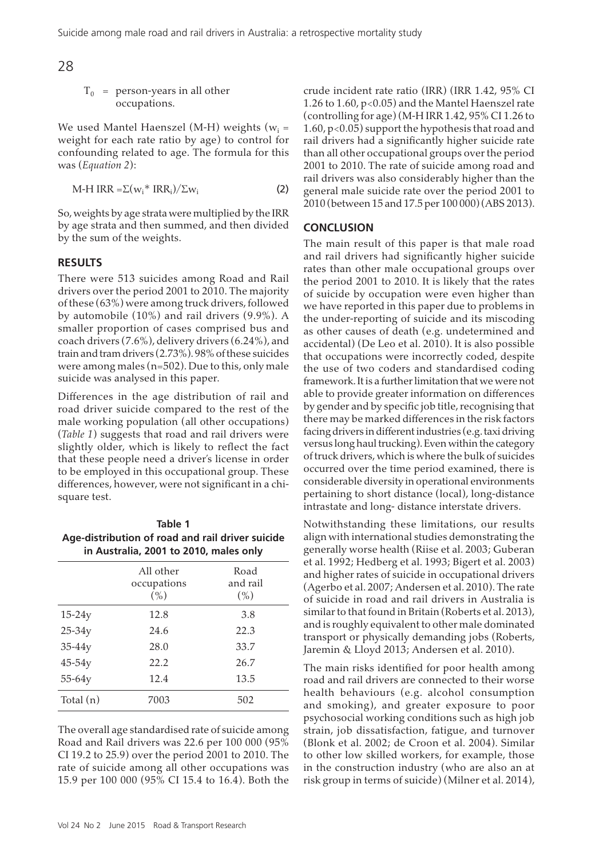28

 $T_0$  = person-years in all other occupations.

We used Mantel Haenszel (M-H) weights ( $\rm w_i$  = weight for each rate ratio by age) to control for confounding related to age. The formula for this was (*Equation 2*):

$$
M-H IRR = \Sigma (w_i^* IRR_i) / \Sigma w_i
$$
 (2)

So, weights by age strata were multiplied by the IRR by age strata and then summed, and then divided by the sum of the weights.

# **RESULTS**

There were 513 suicides among Road and Rail drivers over the period 2001 to 2010. The majority of these (63%) were among truck drivers, followed by automobile (10%) and rail drivers (9.9%). A smaller proportion of cases comprised bus and coach drivers (7.6%), delivery drivers (6.24%), and train and tram drivers (2.73%). 98% of these suicides were among males (n=502). Due to this, only male suicide was analysed in this paper.

Differences in the age distribution of rail and road driver suicide compared to the rest of the male working population (all other occupations) (*Table 1*) suggests that road and rail drivers were slightly older, which is likely to reflect the fact that these people need a driver's license in order to be employed in this occupational group. These differences, however, were not significant in a chisquare test.

| Table 1<br>Age-distribution of road and rail driver suicide<br>in Australia, 2001 to 2010, males only |                                     |                             |
|-------------------------------------------------------------------------------------------------------|-------------------------------------|-----------------------------|
|                                                                                                       | All other<br>occupations<br>$(\% )$ | Road<br>and rail<br>$(\% )$ |
| $15-24y$                                                                                              | 12.8                                | 3.8                         |
| $25 - 34y$                                                                                            | 24.6                                | 22.3                        |
| $35-44y$                                                                                              | 28.0                                | 33.7                        |
| $45-54y$                                                                                              | 22.2                                | 26.7                        |
| 55-64y                                                                                                | 12.4                                | 13.5                        |
| Total $(n)$                                                                                           | 7003                                | 502                         |

The overall age standardised rate of suicide among Road and Rail drivers was 22.6 per 100 000 (95% CI 19.2 to 25.9) over the period 2001 to 2010. The rate of suicide among all other occupations was 15.9 per 100 000 (95% CI 15.4 to 16.4). Both the crude incident rate ratio (IRR) (IRR 1.42, 95% CI 1.26 to 1.60, p<0.05) and the Mantel Haenszel rate (controlling for age) (M-H IRR 1.42, 95% CI 1.26 to 1.60,  $p<0.05$ ) support the hypothesis that road and rail drivers had a significantly higher suicide rate than all other occupational groups over the period 2001 to 2010. The rate of suicide among road and rail drivers was also considerably higher than the general male suicide rate over the period 2001 to 2010 (between 15 and 17.5 per 100 000) (ABS 2013).

#### **CONCLUSION**

The main result of this paper is that male road and rail drivers had significantly higher suicide rates than other male occupational groups over the period 2001 to 2010. It is likely that the rates of suicide by occupation were even higher than we have reported in this paper due to problems in the under-reporting of suicide and its miscoding as other causes of death (e.g. undetermined and accidental) (De Leo et al. 2010). It is also possible that occupations were incorrectly coded, despite the use of two coders and standardised coding framework. It is a further limitation that we were not able to provide greater information on differences by gender and by specific job title, recognising that there may be marked differences in the risk factors facing drivers in different industries (e.g. taxi driving versus long haul trucking). Even within the category of truck drivers, which is where the bulk of suicides occurred over the time period examined, there is considerable diversity in operational environments pertaining to short distance (local), long-distance intrastate and long- distance interstate drivers.

Notwithstanding these limitations, our results align with international studies demonstrating the generally worse health (Riise et al. 2003; Guberan et al. 1992; Hedberg et al. 1993; Bigert et al. 2003) and higher rates of suicide in occupational drivers (Agerbo et al. 2007; Andersen et al. 2010). The rate of suicide in road and rail drivers in Australia is similar to that found in Britain (Roberts et al. 2013), and is roughly equivalent to other male dominated transport or physically demanding jobs (Roberts, Jaremin & Lloyd 2013; Andersen et al. 2010).

The main risks identified for poor health among road and rail drivers are connected to their worse health behaviours (e.g. alcohol consumption and smoking), and greater exposure to poor psychosocial working conditions such as high job strain, job dissatisfaction, fatigue, and turnover (Blonk et al. 2002; de Croon et al. 2004). Similar to other low skilled workers, for example, those in the construction industry (who are also an at risk group in terms of suicide) (Milner et al. 2014),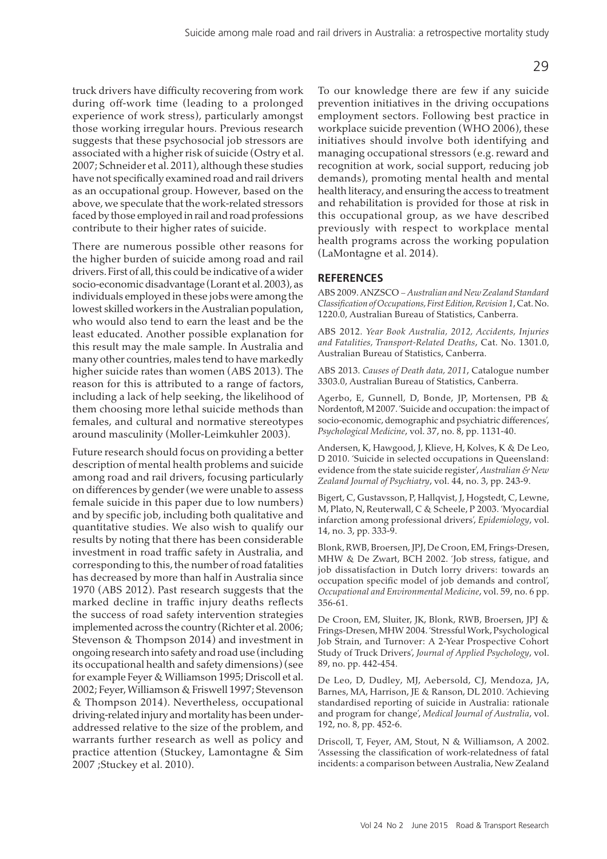truck drivers have difficulty recovering from work during off-work time (leading to a prolonged experience of work stress), particularly amongst those working irregular hours. Previous research suggests that these psychosocial job stressors are associated with a higher risk of suicide (Ostry et al. 2007; Schneider et al. 2011), although these studies have not specifically examined road and rail drivers as an occupational group. However, based on the above, we speculate that the work-related stressors faced by those employed in rail and road professions contribute to their higher rates of suicide.

There are numerous possible other reasons for the higher burden of suicide among road and rail drivers. First of all, this could be indicative of a wider socio-economic disadvantage (Lorant et al. 2003), as individuals employed in these jobs were among the lowest skilled workers in the Australian population, who would also tend to earn the least and be the least educated. Another possible explanation for this result may the male sample. In Australia and many other countries, males tend to have markedly higher suicide rates than women (ABS 2013). The reason for this is attributed to a range of factors, including a lack of help seeking, the likelihood of them choosing more lethal suicide methods than females, and cultural and normative stereotypes around masculinity (Moller-Leimkuhler 2003).

Future research should focus on providing a better description of mental health problems and suicide among road and rail drivers, focusing particularly on differences by gender (we were unable to assess female suicide in this paper due to low numbers) and by specific job, including both qualitative and quantitative studies. We also wish to qualify our results by noting that there has been considerable investment in road traffic safety in Australia, and corresponding to this, the number of road fatalities has decreased by more than half in Australia since 1970 (ABS 2012). Past research suggests that the marked decline in traffic injury deaths reflects the success of road safety intervention strategies implemented across the country (Richter et al. 2006; Stevenson & Thompson 2014) and investment in ongoing research into safety and road use (including its occupational health and safety dimensions) (see for example Feyer & Williamson 1995; Driscoll et al. 2002; Feyer, Williamson & Friswell 1997; Stevenson & Thompson 2014). Nevertheless, occupational driving-related injury and mortality has been underaddressed relative to the size of the problem, and warrants further research as well as policy and practice attention (Stuckey, Lamontagne & Sim 2007 ;Stuckey et al. 2010).

To our knowledge there are few if any suicide prevention initiatives in the driving occupations employment sectors. Following best practice in workplace suicide prevention (WHO 2006), these initiatives should involve both identifying and managing occupational stressors (e.g. reward and recognition at work, social support, reducing job demands), promoting mental health and mental health literacy, and ensuring the access to treatment and rehabilitation is provided for those at risk in this occupational group, as we have described previously with respect to workplace mental health programs across the working population (LaMontagne et al. 2014).

#### **REFERENCES**

ABS 2009. ANZSCO − *Australian and New Zealand Standard Classification of Occupations, First Edition, Revision 1*, Cat. No. 1220.0, Australian Bureau of Statistics, Canberra.

ABS 2012. *Year Book Australia, 2012, Accidents, Injuries and Fatalities, Transport-Related Deaths*, Cat. No. 1301.0, Australian Bureau of Statistics, Canberra.

ABS 2013. *Causes of Death data, 2011*, Catalogue number 3303.0, Australian Bureau of Statistics, Canberra.

Agerbo, E, Gunnell, D, Bonde, JP, Mortensen, PB & Nordentoft, M 2007. 'Suicide and occupation: the impact of socio-economic, demographic and psychiatric differences', *Psychological Medicine*, vol. 37, no. 8, pp. 1131-40.

Andersen, K, Hawgood, J, Klieve, H, Kolves, K & De Leo, D 2010. 'Suicide in selected occupations in Queensland: evidence from the state suicide register', *Australian & New Zealand Journal of Psychiatry*, vol. 44, no. 3, pp. 243-9.

Bigert, C, Gustavsson, P, Hallqvist, J, Hogstedt, C, Lewne, M, Plato, N, Reuterwall, C & Scheele, P 2003. 'Myocardial infarction among professional drivers', *Epidemiology*, vol. 14, no. 3, pp. 333-9.

Blonk, RWB, Broersen, JPJ, De Croon, EM, Frings-Dresen, MHW & De Zwart, BCH 2002. 'Job stress, fatigue, and job dissatisfaction in Dutch lorry drivers: towards an occupation specific model of job demands and control', *Occupational and Environmental Medicine*, vol. 59, no. 6 pp. 356-61.

De Croon, EM, Sluiter, JK, Blonk, RWB, Broersen, JPJ & Frings-Dresen, MHW 2004. 'Stressful Work, Psychological Job Strain, and Turnover: A 2-Year Prospective Cohort Study of Truck Drivers', *Journal of Applied Psychology*, vol. 89, no. pp. 442-454.

De Leo, D, Dudley, MJ, Aebersold, CJ, Mendoza, JA, Barnes, MA, Harrison, JE & Ranson, DL 2010. 'Achieving standardised reporting of suicide in Australia: rationale and program for change', *Medical Journal of Australia*, vol. 192, no. 8, pp. 452-6.

Driscoll, T, Feyer, AM, Stout, N & Williamson, A 2002. 'Assessing the classification of work-relatedness of fatal incidents: a comparison between Australia, New Zealand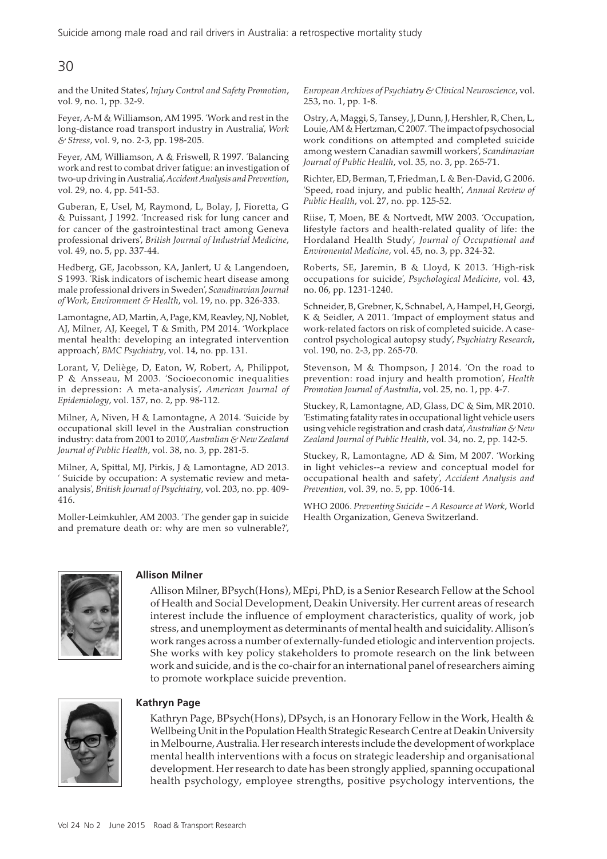# 30

and the United States', *Injury Control and Safety Promotion*, vol. 9, no. 1, pp. 32-9.

Feyer, A-M & Williamson, AM 1995. 'Work and rest in the long-distance road transport industry in Australia', *Work & Stress*, vol. 9, no. 2-3, pp. 198-205.

Feyer, AM, Williamson, A & Friswell, R 1997. 'Balancing work and rest to combat driver fatigue: an investigation of two-up driving in Australia', *Accident Analysis and Prevention*, vol. 29, no. 4, pp. 541-53.

Guberan, E, Usel, M, Raymond, L, Bolay, J, Fioretta, G & Puissant, J 1992. 'Increased risk for lung cancer and for cancer of the gastrointestinal tract among Geneva professional drivers', *British Journal of Industrial Medicine*, vol. 49, no. 5, pp. 337-44.

Hedberg, GE, Jacobsson, KA, Janlert, U & Langendoen, S 1993. 'Risk indicators of ischemic heart disease among male professional drivers in Sweden', *Scandinavian Journal of Work, Environment & Health*, vol. 19, no. pp. 326-333.

Lamontagne, AD, Martin, A, Page, KM, Reavley, NJ, Noblet, AJ, Milner, AJ, Keegel, T & Smith, PM 2014. 'Workplace mental health: developing an integrated intervention approach', *BMC Psychiatry*, vol. 14, no. pp. 131.

Lorant, V, Deliège, D, Eaton, W, Robert, A, Philippot, P & Ansseau, M 2003. 'Socioeconomic inequalities in depression: A meta-analysis', *American Journal of Epidemiology*, vol. 157, no. 2, pp. 98-112.

Milner, A, Niven, H & Lamontagne, A 2014. 'Suicide by occupational skill level in the Australian construction industry: data from 2001 to 2010', *Australian & New Zealand Journal of Public Health*, vol. 38, no. 3, pp. 281-5.

Milner, A, Spittal, MJ, Pirkis, J & Lamontagne, AD 2013. ' Suicide by occupation: A systematic review and metaanalysis', *British Journal of Psychiatry*, vol. 203, no. pp. 409- 416.

Moller-Leimkuhler, AM 2003. 'The gender gap in suicide and premature death or: why are men so vulnerable?', *European Archives of Psychiatry & Clinical Neuroscience*, vol. 253, no. 1, pp. 1-8.

Ostry, A, Maggi, S, Tansey, J, Dunn, J, Hershler, R, Chen, L, Louie, AM & Hertzman, C 2007. 'The impact of psychosocial work conditions on attempted and completed suicide among western Canadian sawmill workers', *Scandinavian Journal of Public Health*, vol. 35, no. 3, pp. 265-71.

Richter, ED, Berman, T, Friedman, L & Ben-David, G 2006. 'Speed, road injury, and public health', *Annual Review of Public Health*, vol. 27, no. pp. 125-52.

Riise, T, Moen, BE & Nortvedt, MW 2003. 'Occupation, lifestyle factors and health-related quality of life: the Hordaland Health Study', *Journal of Occupational and Environental Medicine*, vol. 45, no. 3, pp. 324-32.

Roberts, SE, Jaremin, B & Lloyd, K 2013. 'High-risk occupations for suicide', *Psychological Medicine*, vol. 43, no. 06, pp. 1231-1240.

Schneider, B, Grebner, K, Schnabel, A, Hampel, H, Georgi, K & Seidler, A 2011. 'Impact of employment status and work-related factors on risk of completed suicide. A casecontrol psychological autopsy study', *Psychiatry Research*, vol. 190, no. 2-3, pp. 265-70.

Stevenson, M & Thompson, J 2014. 'On the road to prevention: road injury and health promotion', *Health Promotion Journal of Australia*, vol. 25, no. 1, pp. 4-7.

Stuckey, R, Lamontagne, AD, Glass, DC & Sim, MR 2010. 'Estimating fatality rates in occupational light vehicle users using vehicle registration and crash data', *Australian & New Zealand Journal of Public Health*, vol. 34, no. 2, pp. 142-5.

Stuckey, R, Lamontagne, AD & Sim, M 2007. 'Working in light vehicles--a review and conceptual model for occupational health and safety', *Accident Analysis and Prevention*, vol. 39, no. 5, pp. 1006-14.

WHO 2006. *Preventing Suicide – A Resource at Work*, World Health Organization, Geneva Switzerland.



#### **Allison Milner**

Allison Milner, BPsych(Hons), MEpi, PhD, is a Senior Research Fellow at the School of Health and Social Development, Deakin University. Her current areas of research interest include the influence of employment characteristics, quality of work, job stress, and unemployment as determinants of mental health and suicidality. Allison's work ranges across a number of externally-funded etiologic and intervention projects. She works with key policy stakeholders to promote research on the link between work and suicide, and is the co-chair for an international panel of researchers aiming to promote workplace suicide prevention.



#### **Kathryn Page**

Kathryn Page, BPsych(Hons), DPsych, is an Honorary Fellow in the Work, Health & Wellbeing Unit in the Population Health Strategic Research Centre at Deakin University in Melbourne, Australia. Her research interests include the development of workplace mental health interventions with a focus on strategic leadership and organisational development. Her research to date has been strongly applied, spanning occupational health psychology, employee strengths, positive psychology interventions, the